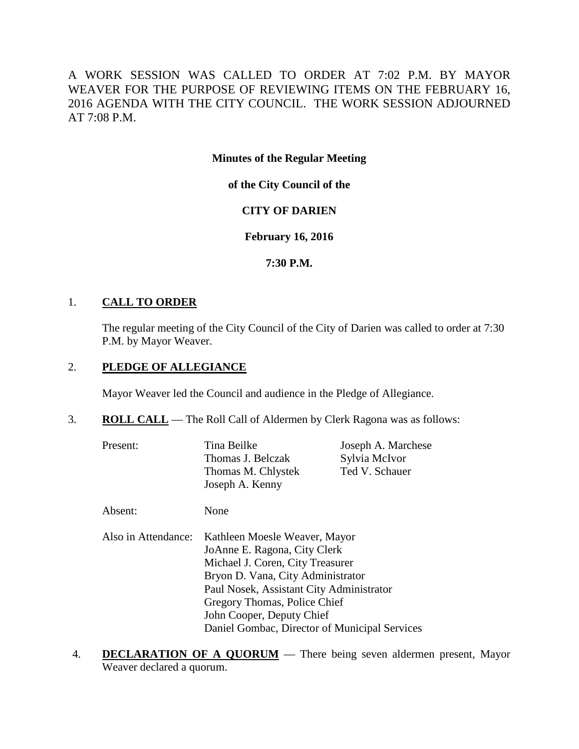A WORK SESSION WAS CALLED TO ORDER AT 7:02 P.M. BY MAYOR WEAVER FOR THE PURPOSE OF REVIEWING ITEMS ON THE FEBRUARY 16, 2016 AGENDA WITH THE CITY COUNCIL. THE WORK SESSION ADJOURNED AT 7:08 P.M.

**Minutes of the Regular Meeting**

**of the City Council of the**

# **CITY OF DARIEN**

# **February 16, 2016**

## **7:30 P.M.**

## 1. **CALL TO ORDER**

The regular meeting of the City Council of the City of Darien was called to order at 7:30 P.M. by Mayor Weaver.

## 2. **PLEDGE OF ALLEGIANCE**

Mayor Weaver led the Council and audience in the Pledge of Allegiance.

- 3. **ROLL CALL** The Roll Call of Aldermen by Clerk Ragona was as follows:
	- Present: Tina Beilke Joseph A. Marchese Thomas J. Belczak Sylvia McIvor<br>Thomas M. Chlystek Ted V. Schauer Thomas M. Chlystek Joseph A. Kenny

Absent: None

- Also in Attendance: Kathleen Moesle Weaver, Mayor JoAnne E. Ragona, City Clerk Michael J. Coren, City Treasurer Bryon D. Vana, City Administrator Paul Nosek, Assistant City Administrator Gregory Thomas, Police Chief John Cooper, Deputy Chief Daniel Gombac, Director of Municipal Services
- 4. **DECLARATION OF A QUORUM** There being seven aldermen present, Mayor Weaver declared a quorum.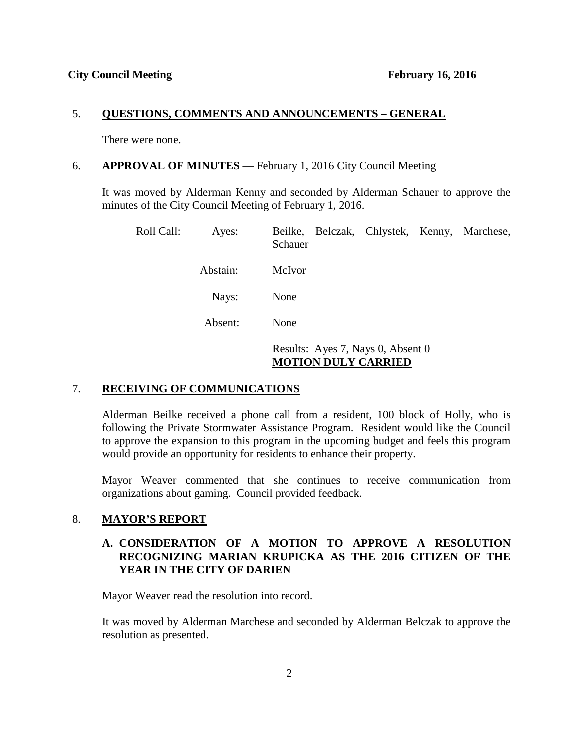### 5. **QUESTIONS, COMMENTS AND ANNOUNCEMENTS – GENERAL**

There were none.

### 6. **APPROVAL OF MINUTES** — February 1, 2016 City Council Meeting

It was moved by Alderman Kenny and seconded by Alderman Schauer to approve the minutes of the City Council Meeting of February 1, 2016.

| Roll Call: | Ayes:    | Beilke, Belczak, Chlystek, Kenny, Marchese,<br>Schauer          |  |  |  |
|------------|----------|-----------------------------------------------------------------|--|--|--|
|            | Abstain: | McIvor                                                          |  |  |  |
|            | Nays:    | None                                                            |  |  |  |
|            | Absent:  | None                                                            |  |  |  |
|            |          | Results: Ayes 7, Nays 0, Absent 0<br><b>MOTION DULY CARRIED</b> |  |  |  |

## 7. **RECEIVING OF COMMUNICATIONS**

Alderman Beilke received a phone call from a resident, 100 block of Holly, who is following the Private Stormwater Assistance Program. Resident would like the Council to approve the expansion to this program in the upcoming budget and feels this program would provide an opportunity for residents to enhance their property.

Mayor Weaver commented that she continues to receive communication from organizations about gaming. Council provided feedback.

## 8. **MAYOR'S REPORT**

## **A. CONSIDERATION OF A MOTION TO APPROVE A RESOLUTION RECOGNIZING MARIAN KRUPICKA AS THE 2016 CITIZEN OF THE YEAR IN THE CITY OF DARIEN**

Mayor Weaver read the resolution into record.

It was moved by Alderman Marchese and seconded by Alderman Belczak to approve the resolution as presented.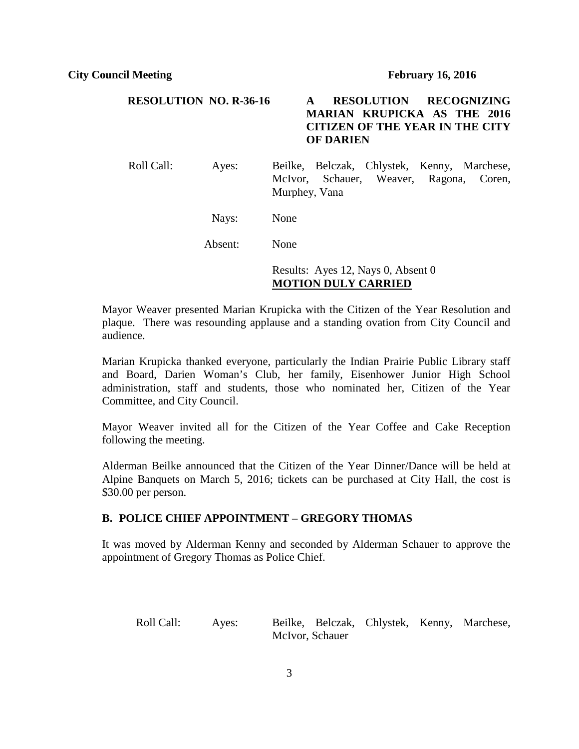## **RESOLUTION NO. R-36-16 A RESOLUTION RECOGNIZING MARIAN KRUPICKA AS THE 2016 CITIZEN OF THE YEAR IN THE CITY OF DARIEN**

Roll Call: Ayes: Beilke, Belczak, Chlystek, Kenny, Marchese, McIvor, Schauer, Weaver, Ragona, Coren, Murphey, Vana

Nays: None

Absent: None

# Results: Ayes 12, Nays 0, Absent 0 **MOTION DULY CARRIED**

Mayor Weaver presented Marian Krupicka with the Citizen of the Year Resolution and plaque. There was resounding applause and a standing ovation from City Council and audience.

Marian Krupicka thanked everyone, particularly the Indian Prairie Public Library staff and Board, Darien Woman's Club, her family, Eisenhower Junior High School administration, staff and students, those who nominated her, Citizen of the Year Committee, and City Council.

Mayor Weaver invited all for the Citizen of the Year Coffee and Cake Reception following the meeting.

Alderman Beilke announced that the Citizen of the Year Dinner/Dance will be held at Alpine Banquets on March 5, 2016; tickets can be purchased at City Hall, the cost is \$30.00 per person.

#### **B. POLICE CHIEF APPOINTMENT – GREGORY THOMAS**

It was moved by Alderman Kenny and seconded by Alderman Schauer to approve the appointment of Gregory Thomas as Police Chief.

Roll Call: Ayes: Beilke, Belczak, Chlystek, Kenny, Marchese, McIvor, Schauer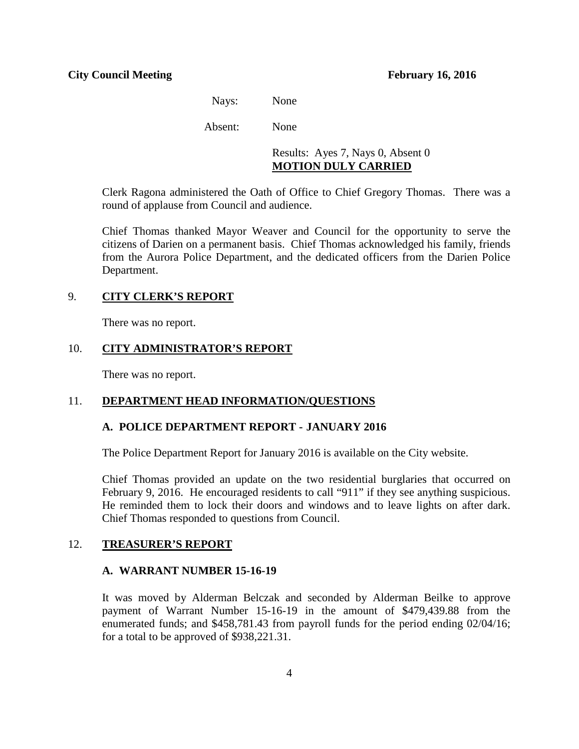Nays: None

Absent: None

## Results: Ayes 7, Nays 0, Absent 0 **MOTION DULY CARRIED**

Clerk Ragona administered the Oath of Office to Chief Gregory Thomas. There was a round of applause from Council and audience.

Chief Thomas thanked Mayor Weaver and Council for the opportunity to serve the citizens of Darien on a permanent basis. Chief Thomas acknowledged his family, friends from the Aurora Police Department, and the dedicated officers from the Darien Police Department.

## 9. **CITY CLERK'S REPORT**

There was no report.

## 10. **CITY ADMINISTRATOR'S REPORT**

There was no report.

## 11. **DEPARTMENT HEAD INFORMATION/QUESTIONS**

#### **A. POLICE DEPARTMENT REPORT - JANUARY 2016**

The Police Department Report for January 2016 is available on the City website.

Chief Thomas provided an update on the two residential burglaries that occurred on February 9, 2016. He encouraged residents to call "911" if they see anything suspicious. He reminded them to lock their doors and windows and to leave lights on after dark. Chief Thomas responded to questions from Council.

#### 12. **TREASURER'S REPORT**

#### **A. WARRANT NUMBER 15-16-19**

It was moved by Alderman Belczak and seconded by Alderman Beilke to approve payment of Warrant Number 15-16-19 in the amount of \$479,439.88 from the enumerated funds; and \$458,781.43 from payroll funds for the period ending 02/04/16; for a total to be approved of \$938,221.31.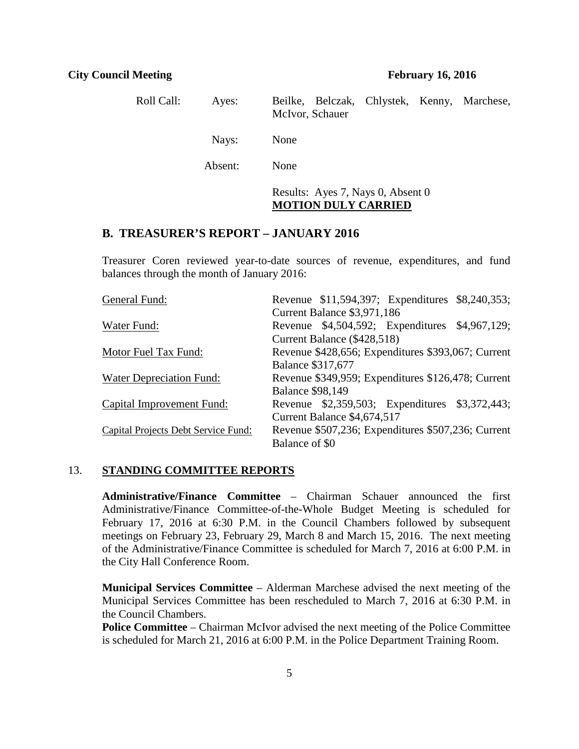| Roll Call: | Ayes:   | Beilke, Belczak, Chlystek, Kenny, Marchese,<br>McIvor, Schauer  |
|------------|---------|-----------------------------------------------------------------|
|            | Nays:   | None                                                            |
|            | Absent: | None                                                            |
|            |         | Results: Ayes 7, Nays 0, Absent 0<br><b>MOTION DULY CARRIED</b> |

## **B. TREASURER'S REPORT – JANUARY 2016**

Treasurer Coren reviewed year-to-date sources of revenue, expenditures, and fund balances through the month of January 2016:

| General Fund:                       |                          |                             | Revenue \$11,594,397; Expenditures \$8,240,353;    |  |
|-------------------------------------|--------------------------|-----------------------------|----------------------------------------------------|--|
|                                     |                          | Current Balance \$3,971,186 |                                                    |  |
| Water Fund:                         |                          |                             | Revenue \$4,504,592; Expenditures \$4,967,129;     |  |
|                                     |                          | Current Balance (\$428,518) |                                                    |  |
| Motor Fuel Tax Fund:                |                          |                             | Revenue \$428,656; Expenditures \$393,067; Current |  |
|                                     | <b>Balance \$317,677</b> |                             |                                                    |  |
| Water Depreciation Fund:            |                          |                             | Revenue \$349,959; Expenditures \$126,478; Current |  |
|                                     | <b>Balance \$98,149</b>  |                             |                                                    |  |
| Capital Improvement Fund:           |                          |                             | Revenue \$2,359,503; Expenditures \$3,372,443;     |  |
|                                     |                          | Current Balance \$4,674,517 |                                                    |  |
| Capital Projects Debt Service Fund: |                          |                             | Revenue \$507,236; Expenditures \$507,236; Current |  |
|                                     | Balance of \$0           |                             |                                                    |  |

### 13. **STANDING COMMITTEE REPORTS**

**Administrative/Finance Committee** – Chairman Schauer announced the first Administrative/Finance Committee-of-the-Whole Budget Meeting is scheduled for February 17, 2016 at 6:30 P.M. in the Council Chambers followed by subsequent meetings on February 23, February 29, March 8 and March 15, 2016. The next meeting of the Administrative/Finance Committee is scheduled for March 7, 2016 at 6:00 P.M. in the City Hall Conference Room.

**Municipal Services Committee** – Alderman Marchese advised the next meeting of the Municipal Services Committee has been rescheduled to March 7, 2016 at 6:30 P.M. in the Council Chambers.

**Police Committee** – Chairman McIvor advised the next meeting of the Police Committee is scheduled for March 21, 2016 at 6:00 P.M. in the Police Department Training Room.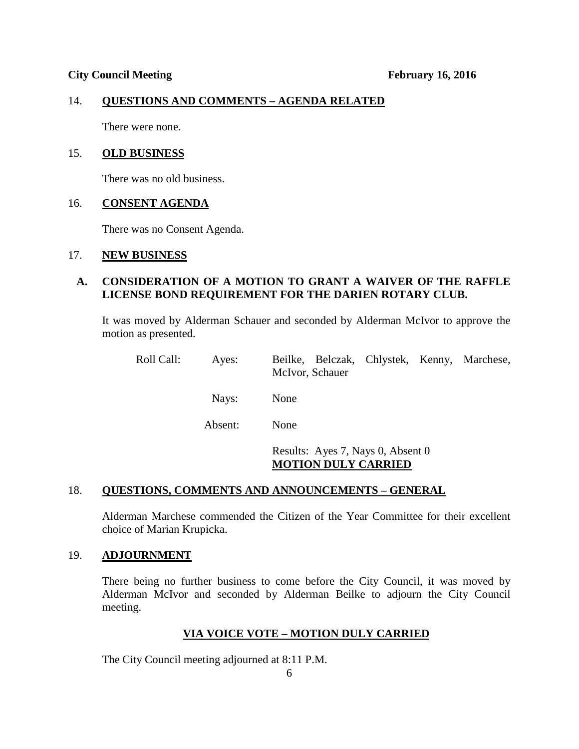## 14. **QUESTIONS AND COMMENTS – AGENDA RELATED**

There were none.

#### 15. **OLD BUSINESS**

There was no old business.

## 16. **CONSENT AGENDA**

There was no Consent Agenda.

### 17. **NEW BUSINESS**

## **A. CONSIDERATION OF A MOTION TO GRANT A WAIVER OF THE RAFFLE LICENSE BOND REQUIREMENT FOR THE DARIEN ROTARY CLUB.**

It was moved by Alderman Schauer and seconded by Alderman McIvor to approve the motion as presented.

| Roll Call: | Ayes:   | Beilke, Belczak, Chlystek, Kenny, Marchese,<br>McIvor, Schauer  |
|------------|---------|-----------------------------------------------------------------|
|            | Nays:   | None                                                            |
|            | Absent: | None                                                            |
|            |         | Results: Ayes 7, Nays 0, Absent 0<br><b>MOTION DULY CARRIED</b> |

#### 18. **QUESTIONS, COMMENTS AND ANNOUNCEMENTS – GENERAL**

Alderman Marchese commended the Citizen of the Year Committee for their excellent choice of Marian Krupicka.

#### 19. **ADJOURNMENT**

There being no further business to come before the City Council, it was moved by Alderman McIvor and seconded by Alderman Beilke to adjourn the City Council meeting.

#### **VIA VOICE VOTE – MOTION DULY CARRIED**

The City Council meeting adjourned at 8:11 P.M.